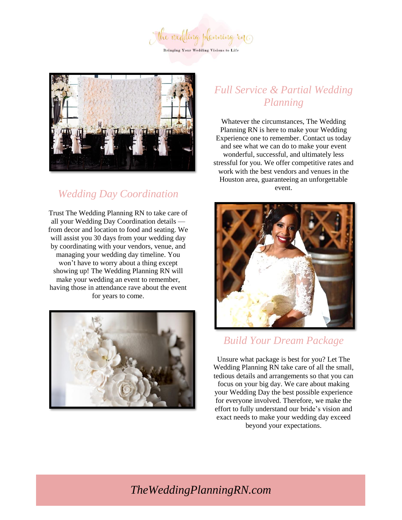the wedding planning in **Bringing Your Wedding Visions to Life** 



## *Wedding Day Coordination*

Trust The Wedding Planning RN to take care of all your Wedding Day Coordination details from decor and location to food and seating. We will assist you 30 days from your wedding day by coordinating with your vendors, venue, and managing your wedding day timeline. You won't have to worry about a thing except showing up! The Wedding Planning RN will make your wedding an event to remember, having those in attendance rave about the event for years to come.



## *Full Service & Partial Wedding Planning*

Whatever the circumstances, The Wedding Planning RN is here to make your Wedding Experience one to remember. Contact us today and see what we can do to make your event wonderful, successful, and ultimately less stressful for you. We offer competitive rates and work with the best vendors and venues in the Houston area, guaranteeing an unforgettable event.



### *Build Your Dream Package*

Unsure what package is best for you? Let The Wedding Planning RN take care of all the small, tedious details and arrangements so that you can focus on your big day. We care about making your Wedding Day the best possible experience for everyone involved. Therefore, we make the effort to fully understand our bride's vision and exact needs to make your wedding day exceed beyond your expectations.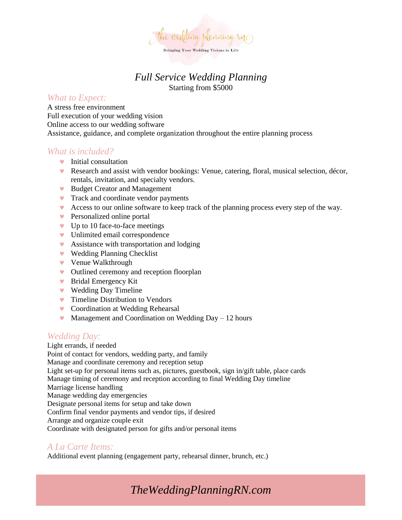

### *Full Service Wedding Planning* Starting from \$5000

### *What to Expect:*

A stress free environment Full execution of your wedding vision Online access to our wedding software Assistance, guidance, and complete organization throughout the entire planning process

### *What is included?*

- $\bullet$  Initial consultation
- Research and assist with vendor bookings: Venue, catering, floral, musical selection, décor, rentals, invitation, and specialty vendors.
- Budget Creator and Management
- **Track and coordinate vendor payments**
- Access to our online software to keep track of the planning process every step of the way.
- **Personalized online portal**
- $\bullet$  Up to 10 face-to-face meetings
- Unlimited email correspondence
- **Assistance with transportation and lodging**
- Wedding Planning Checklist
- Venue Walkthrough
- Outlined ceremony and reception floorplan
- Bridal Emergency Kit
- ▼ Wedding Day Timeline
- **Timeline Distribution to Vendors**
- **v** Coordination at Wedding Rehearsal
- $\blacktriangleright$  Management and Coordination on Wedding Day 12 hours

### *Wedding Day:*

Light errands, if needed Point of contact for vendors, wedding party, and family Manage and coordinate ceremony and reception setup Light set-up for personal items such as, pictures, guestbook, sign in/gift table, place cards Manage timing of ceremony and reception according to final Wedding Day timeline Marriage license handling Manage wedding day emergencies Designate personal items for setup and take down Confirm final vendor payments and vendor tips, if desired Arrange and organize couple exit Coordinate with designated person for gifts and/or personal items

### *A La Carte Items:*

Additional event planning (engagement party, rehearsal dinner, brunch, etc.)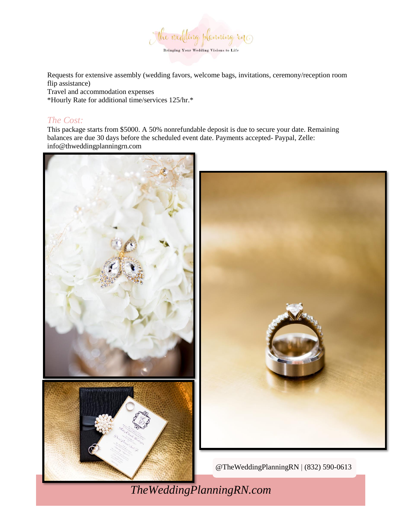

Requests for extensive assembly (wedding favors, welcome bags, invitations, ceremony/reception room flip assistance)

Travel and accommodation expenses

\*Hourly Rate for additional time/services 125/hr.\*

### *The Cost:*

This package starts from \$5000. A 50% nonrefundable deposit is due to secure your date. Remaining balances are due 30 days before the scheduled event date. Payments accepted- Paypal, Zelle: info@thweddingplanningrn.com

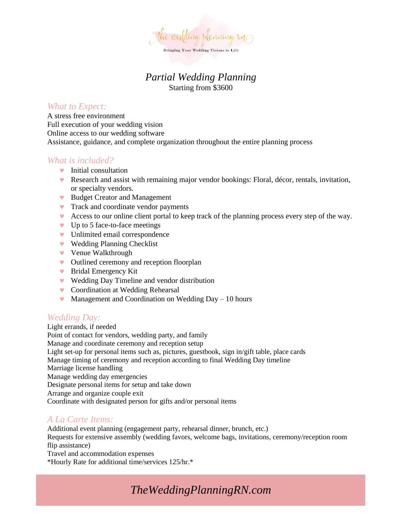

### *Partial Wedding Planning* Starting from \$3600

### *What to Expect:*

A stress free environment Full execution of your wedding vision Online access to our wedding software Assistance, guidance, and complete organization throughout the entire planning process

### *What is included?*

- $\bullet$  Initial consultation
- Research and assist with remaining major vendor bookings: Floral, décor, rentals, invitation, or specialty vendors.
- Budget Creator and Management
- **Track and coordinate vendor payments**
- Access to our online client portal to keep track of the planning process every step of the way.
- $\bullet$  Up to 5 face-to-face meetings
- **v** Unlimited email correspondence
- Wedding Planning Checklist
- Venue Walkthrough
- Outlined ceremony and reception floorplan
- Bridal Emergency Kit
- Wedding Day Timeline and vendor distribution
- Coordination at Wedding Rehearsal
- $\bullet$  Management and Coordination on Wedding Day 10 hours

### *Wedding Day:*

Light errands, if needed Point of contact for vendors, wedding party, and family Manage and coordinate ceremony and reception setup Light set-up for personal items such as, pictures, guestbook, sign in/gift table, place cards Manage timing of ceremony and reception according to final Wedding Day timeline Marriage license handling Manage wedding day emergencies Designate personal items for setup and take down Arrange and organize couple exit Coordinate with designated person for gifts and/or personal items

### *A La Carte Items:*

Additional event planning (engagement party, rehearsal dinner, brunch, etc.) Requests for extensive assembly (wedding favors, welcome bags, invitations, ceremony/reception room flip assistance) Travel and accommodation expenses \*Hourly Rate for additional time/services 125/hr.\*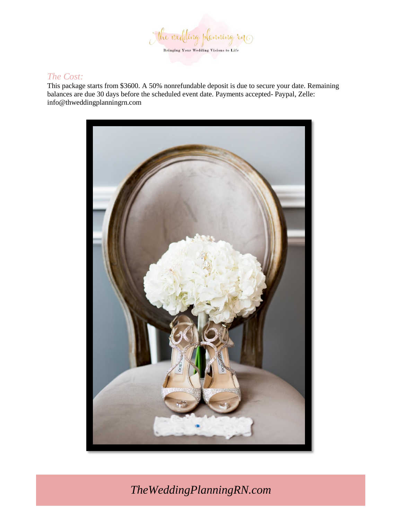

### *The Cost:*

This package starts from \$3600. A 50% nonrefundable deposit is due to secure your date. Remaining balances are due 30 days before the scheduled event date. Payments accepted- Paypal, Zelle: info@thweddingplanningrn.com

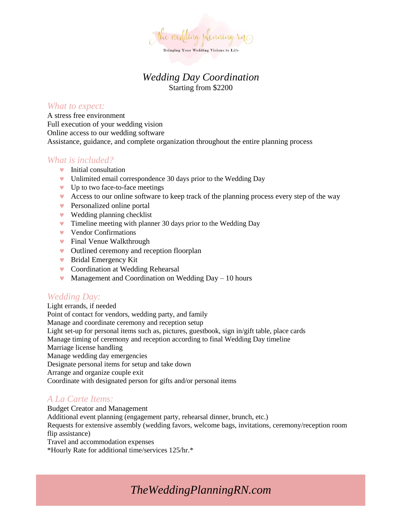

### *Wedding Day Coordination* Starting from \$2200

#### *What to expect:*

A stress free environment Full execution of your wedding vision Online access to our wedding software Assistance, guidance, and complete organization throughout the entire planning process

### *What is included?*

- **v** Initial consultation
- Unlimited email correspondence 30 days prior to the Wedding Day
- Up to two face-to-face meetings
- Access to our online software to keep track of the planning process every step of the way
- **Personalized online portal**
- Wedding planning checklist
- **v** Timeline meeting with planner 30 days prior to the Wedding Day
- v Vendor Confirmations
- **•** Final Venue Walkthrough
- Outlined ceremony and reception floorplan
- Bridal Emergency Kit
- Coordination at Wedding Rehearsal
- $\bullet$  Management and Coordination on Wedding Day 10 hours

### *Wedding Day:*

Light errands, if needed Point of contact for vendors, wedding party, and family Manage and coordinate ceremony and reception setup Light set-up for personal items such as, pictures, guestbook, sign in/gift table, place cards Manage timing of ceremony and reception according to final Wedding Day timeline Marriage license handling Manage wedding day emergencies Designate personal items for setup and take down Arrange and organize couple exit Coordinate with designated person for gifts and/or personal items

### *A La Carte Items:*

Budget Creator and Management Additional event planning (engagement party, rehearsal dinner, brunch, etc.) Requests for extensive assembly (wedding favors, welcome bags, invitations, ceremony/reception room flip assistance) Travel and accommodation expenses \*Hourly Rate for additional time/services 125/hr.\*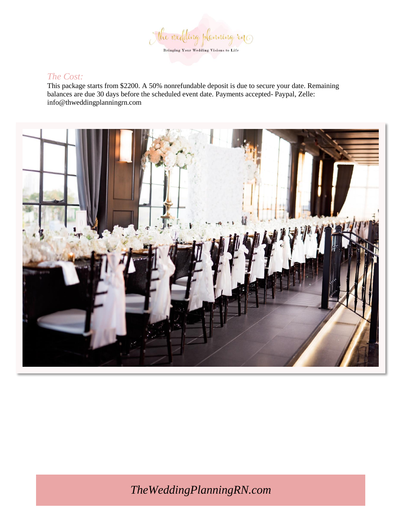

### *The Cost:*

This package starts from \$2200. A 50% nonrefundable deposit is due to secure your date. Remaining balances are due 30 days before the scheduled event date. Payments accepted- Paypal, Zelle: info@thweddingplanningrn.com